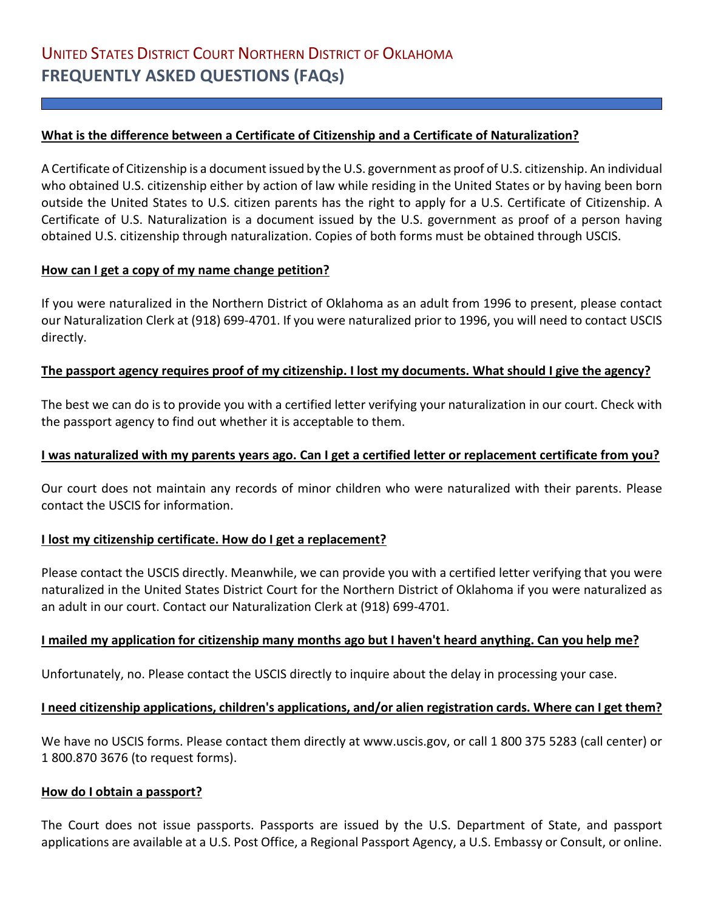## **What is the difference between a Certificate of Citizenship and a Certificate of Naturalization?**

A Certificate of Citizenship is a document issued by the U.S. government as proof of U.S. citizenship. An individual who obtained U.S. citizenship either by action of law while residing in the United States or by having been born outside the United States to U.S. citizen parents has the right to apply for a U.S. Certificate of Citizenship. A Certificate of U.S. Naturalization is a document issued by the U.S. government as proof of a person having obtained U.S. citizenship through naturalization. Copies of both forms must be obtained through USCIS.

# **How can I get a copy of my name change petition?**

If you were naturalized in the Northern District of Oklahoma as an adult from 1996 to present, please contact our Naturalization Clerk at (918) 699-4701. If you were naturalized prior to 1996, you will need to contact USCIS directly.

#### **The passport agency requires proof of my citizenship. I lost my documents. What should I give the agency?**

The best we can do is to provide you with a certified letter verifying your naturalization in our court. Check with the passport agency to find out whether it is acceptable to them.

## **I was naturalized with my parents years ago. Can I get a certified letter or replacement certificate from you?**

Our court does not maintain any records of minor children who were naturalized with their parents. Please contact the USCIS for information.

#### **I lost my citizenship certificate. How do I get a replacement?**

Please contact the USCIS directly. Meanwhile, we can provide you with a certified letter verifying that you were naturalized in the United States District Court for the Northern District of Oklahoma if you were naturalized as an adult in our court. Contact our Naturalization Clerk at (918) 699-4701.

#### **I mailed my application for citizenship many months ago but I haven't heard anything. Can you help me?**

Unfortunately, no. Please contact the USCIS directly to inquire about the delay in processing your case.

#### **I need citizenship applications, children's applications, and/or alien registration cards. Where can I get them?**

We have no USCIS forms. Please contact them directly at www.uscis.gov, or call 1 800 375 5283 (call center) or 1 800.870 3676 (to request forms).

#### **How do I obtain a passport?**

The Court does not issue passports. Passports are issued by the U.S. Department of State, and passport applications are available at a U.S. Post Office, a Regional Passport Agency, a U.S. Embassy or Consult, or online.